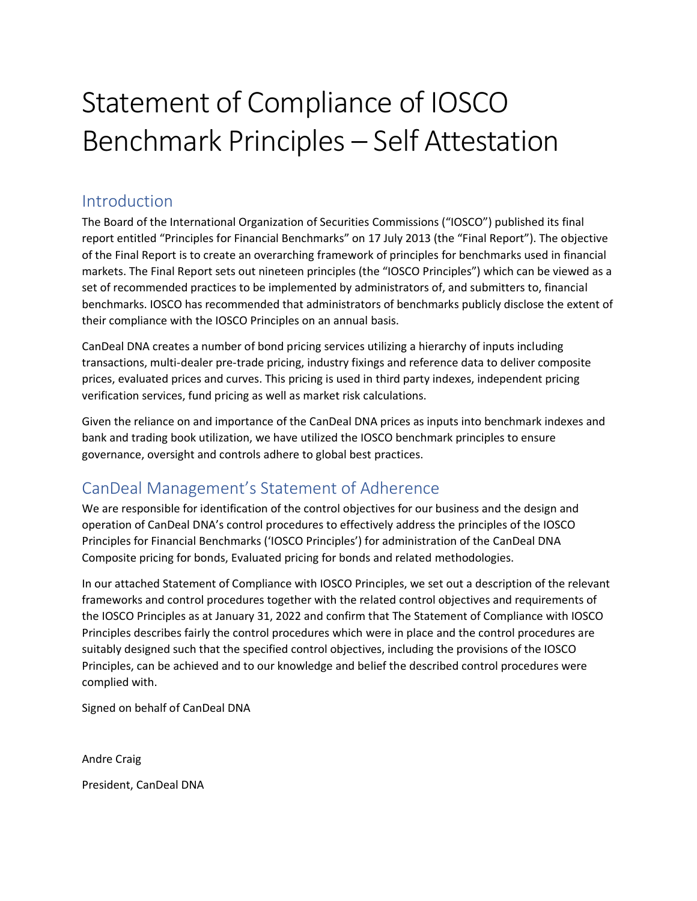## Statement of Compliance of IOSCO Benchmark Principles – Self Attestation

#### Introduction

The Board of the International Organization of Securities Commissions ("IOSCO") published its final report entitled "Principles for Financial Benchmarks" on 17 July 2013 (the "Final Report"). The objective of the Final Report is to create an overarching framework of principles for benchmarks used in financial markets. The Final Report sets out nineteen principles (the "IOSCO Principles") which can be viewed as a set of recommended practices to be implemented by administrators of, and submitters to, financial benchmarks. IOSCO has recommended that administrators of benchmarks publicly disclose the extent of their compliance with the IOSCO Principles on an annual basis.

CanDeal DNA creates a number of bond pricing services utilizing a hierarchy of inputs including transactions, multi-dealer pre-trade pricing, industry fixings and reference data to deliver composite prices, evaluated prices and curves. This pricing is used in third party indexes, independent pricing verification services, fund pricing as well as market risk calculations.

Given the reliance on and importance of the CanDeal DNA prices as inputs into benchmark indexes and bank and trading book utilization, we have utilized the IOSCO benchmark principles to ensure governance, oversight and controls adhere to global best practices.

#### CanDeal Management's Statement of Adherence

We are responsible for identification of the control objectives for our business and the design and operation of CanDeal DNA's control procedures to effectively address the principles of the IOSCO Principles for Financial Benchmarks ('IOSCO Principles') for administration of the CanDeal DNA Composite pricing for bonds, Evaluated pricing for bonds and related methodologies.

In our attached Statement of Compliance with IOSCO Principles, we set out a description of the relevant frameworks and control procedures together with the related control objectives and requirements of the IOSCO Principles as at January 31, 2022 and confirm that The Statement of Compliance with IOSCO Principles describes fairly the control procedures which were in place and the control procedures are suitably designed such that the specified control objectives, including the provisions of the IOSCO Principles, can be achieved and to our knowledge and belief the described control procedures were complied with.

Signed on behalf of CanDeal DNA

Andre Craig President, CanDeal DNA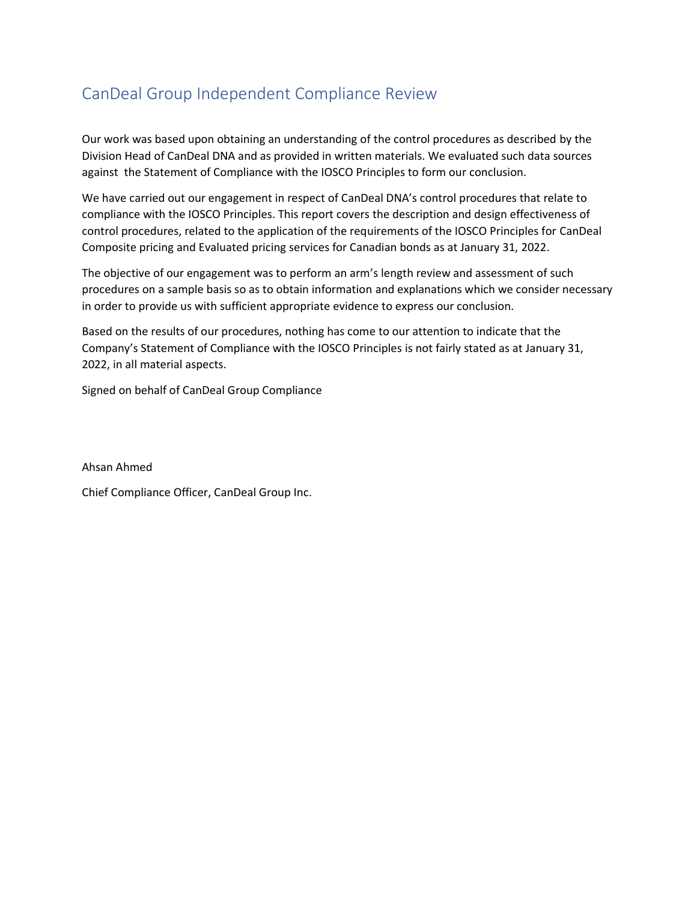## CanDeal Group Independent Compliance Review

Our work was based upon obtaining an understanding of the control procedures as described by the Division Head of CanDeal DNA and as provided in written materials. We evaluated such data sources against the Statement of Compliance with the IOSCO Principles to form our conclusion.

We have carried out our engagement in respect of CanDeal DNA's control procedures that relate to compliance with the IOSCO Principles. This report covers the description and design effectiveness of control procedures, related to the application of the requirements of the IOSCO Principles for CanDeal Composite pricing and Evaluated pricing services for Canadian bonds as at January 31, 2022.

The objective of our engagement was to perform an arm's length review and assessment of such procedures on a sample basis so as to obtain information and explanations which we consider necessary in order to provide us with sufficient appropriate evidence to express our conclusion.

Based on the results of our procedures, nothing has come to our attention to indicate that the Company's Statement of Compliance with the IOSCO Principles is not fairly stated as at January 31, 2022, in all material aspects.

Signed on behalf of CanDeal Group Compliance

Ahsan Ahmed

Chief Compliance Officer, CanDeal Group Inc.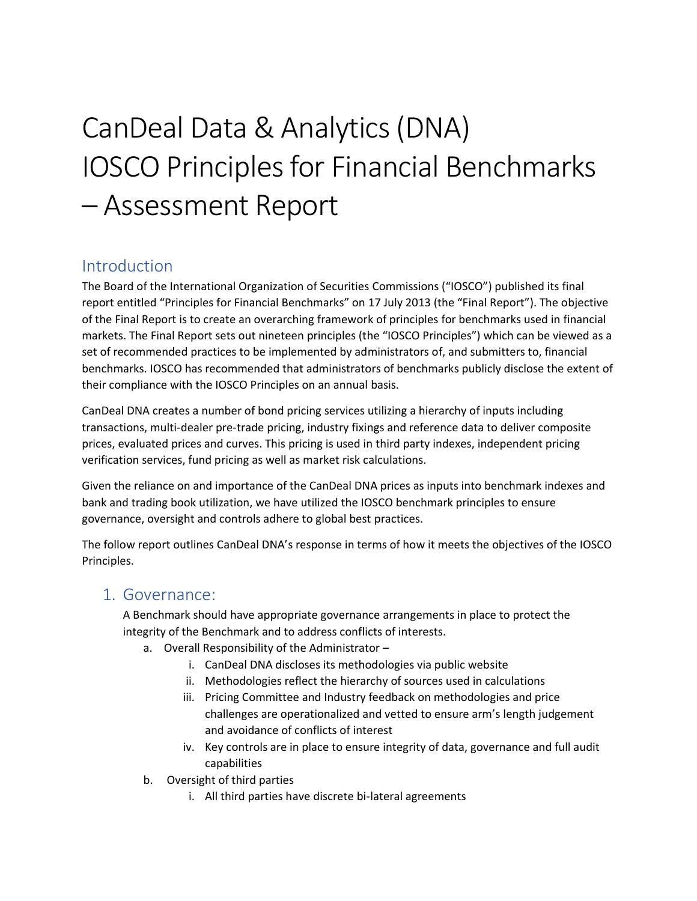# CanDeal Data & Analytics (DNA) IOSCO Principles for Financial Benchmarks – Assessment Report

#### Introduction

The Board of the International Organization of Securities Commissions ("IOSCO") published its final report entitled "Principles for Financial Benchmarks" on 17 July 2013 (the "Final Report"). The objective of the Final Report is to create an overarching framework of principles for benchmarks used in financial markets. The Final Report sets out nineteen principles (the "IOSCO Principles") which can be viewed as a set of recommended practices to be implemented by administrators of, and submitters to, financial benchmarks. IOSCO has recommended that administrators of benchmarks publicly disclose the extent of their compliance with the IOSCO Principles on an annual basis.

CanDeal DNA creates a number of bond pricing services utilizing a hierarchy of inputs including transactions, multi-dealer pre-trade pricing, industry fixings and reference data to deliver composite prices, evaluated prices and curves. This pricing is used in third party indexes, independent pricing verification services, fund pricing as well as market risk calculations.

Given the reliance on and importance of the CanDeal DNA prices as inputs into benchmark indexes and bank and trading book utilization, we have utilized the IOSCO benchmark principles to ensure governance, oversight and controls adhere to global best practices.

The follow report outlines CanDeal DNA's response in terms of how it meets the objectives of the IOSCO Principles.

#### 1. Governance:

A Benchmark should have appropriate governance arrangements in place to protect the integrity of the Benchmark and to address conflicts of interests.

- a. Overall Responsibility of the Administrator
	- i. CanDeal DNA discloses its methodologies via public website
	- ii. Methodologies reflect the hierarchy of sources used in calculations
	- iii. Pricing Committee and Industry feedback on methodologies and price challenges are operationalized and vetted to ensure arm's length judgement and avoidance of conflicts of interest
	- iv. Key controls are in place to ensure integrity of data, governance and full audit capabilities
- b. Oversight of third parties
	- i. All third parties have discrete bi-lateral agreements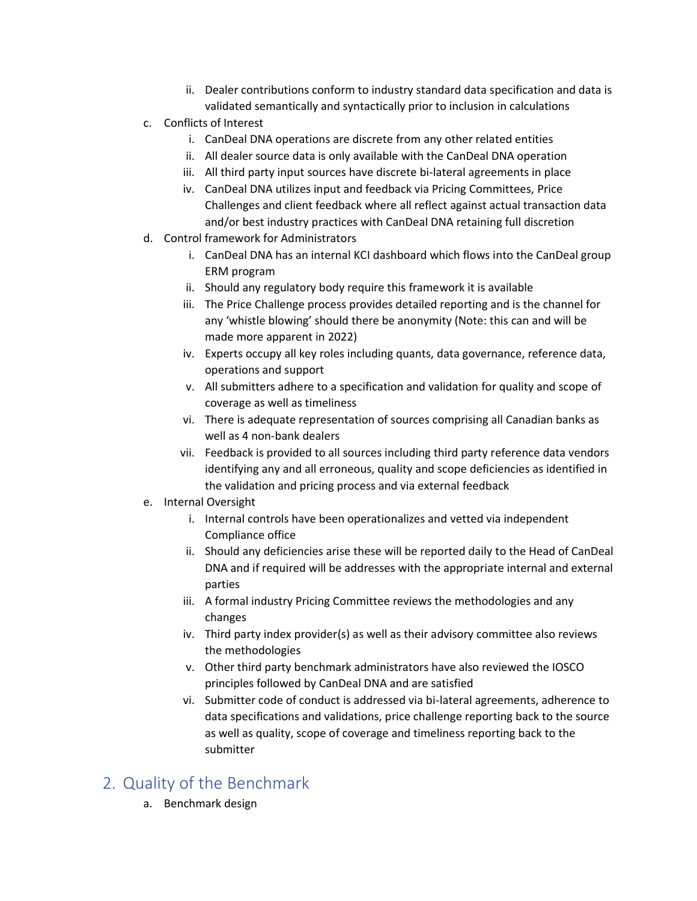- ii. Dealer contributions conform to industry standard data specification and data is validated semantically and syntactically prior to inclusion in calculations
- c. Conflicts of Interest
	- i. CanDeal DNA operations are discrete from any other related entities
	- ii. All dealer source data is only available with the CanDeal DNA operation
	- iii. All third party input sources have discrete bi-lateral agreements in place
	- iv. CanDeal DNA utilizes input and feedback via Pricing Committees, Price Challenges and client feedback where all reflect against actual transaction data and/or best industry practices with CanDeal DNA retaining full discretion
- d. Control framework for Administrators
	- i. CanDeal DNA has an internal KCI dashboard which flows into the CanDeal group ERM program
	- ii. Should any regulatory body require this framework it is available
	- iii. The Price Challenge process provides detailed reporting and is the channel for any 'whistle blowing' should there be anonymity (Note: this can and will be made more apparent in 2022)
	- iv. Experts occupy all key roles including quants, data governance, reference data, operations and support
	- v. All submitters adhere to a specification and validation for quality and scope of coverage as well as timeliness
	- vi. There is adequate representation of sources comprising all Canadian banks as well as 4 non-bank dealers
	- vii. Feedback is provided to all sources including third party reference data vendors identifying any and all erroneous, quality and scope deficiencies as identified in the validation and pricing process and via external feedback
- e. Internal Oversight
	- i. Internal controls have been operationalizes and vetted via independent Compliance office
	- ii. Should any deficiencies arise these will be reported daily to the Head of CanDeal DNA and if required will be addresses with the appropriate internal and external parties
	- iii. A formal industry Pricing Committee reviews the methodologies and any changes
	- iv. Third party index provider(s) as well as their advisory committee also reviews the methodologies
	- v. Other third party benchmark administrators have also reviewed the IOSCO principles followed by CanDeal DNA and are satisfied
	- vi. Submitter code of conduct is addressed via bi-lateral agreements, adherence to data specifications and validations, price challenge reporting back to the source as well as quality, scope of coverage and timeliness reporting back to the submitter

## 2. Quality of the Benchmark

a. Benchmark design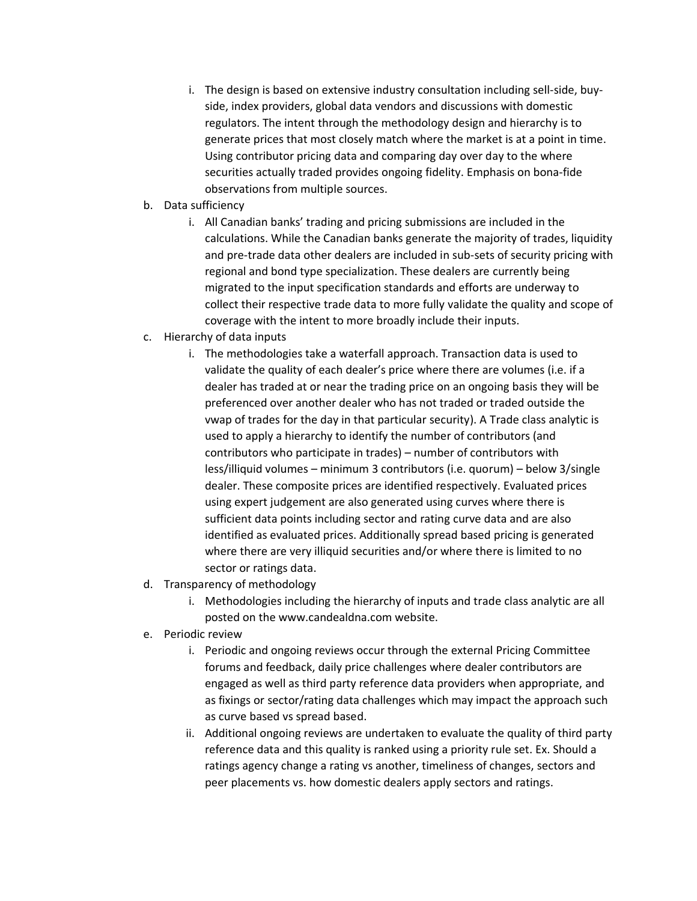- i. The design is based on extensive industry consultation including sell-side, buyside, index providers, global data vendors and discussions with domestic regulators. The intent through the methodology design and hierarchy is to generate prices that most closely match where the market is at a point in time. Using contributor pricing data and comparing day over day to the where securities actually traded provides ongoing fidelity. Emphasis on bona-fide observations from multiple sources.
- b. Data sufficiency
	- i. All Canadian banks' trading and pricing submissions are included in the calculations. While the Canadian banks generate the majority of trades, liquidity and pre-trade data other dealers are included in sub-sets of security pricing with regional and bond type specialization. These dealers are currently being migrated to the input specification standards and efforts are underway to collect their respective trade data to more fully validate the quality and scope of coverage with the intent to more broadly include their inputs.
- c. Hierarchy of data inputs
	- i. The methodologies take a waterfall approach. Transaction data is used to validate the quality of each dealer's price where there are volumes (i.e. if a dealer has traded at or near the trading price on an ongoing basis they will be preferenced over another dealer who has not traded or traded outside the vwap of trades for the day in that particular security). A Trade class analytic is used to apply a hierarchy to identify the number of contributors (and contributors who participate in trades) – number of contributors with less/illiquid volumes – minimum 3 contributors (i.e. quorum) – below 3/single dealer. These composite prices are identified respectively. Evaluated prices using expert judgement are also generated using curves where there is sufficient data points including sector and rating curve data and are also identified as evaluated prices. Additionally spread based pricing is generated where there are very illiquid securities and/or where there is limited to no sector or ratings data.
- d. Transparency of methodology
	- i. Methodologies including the hierarchy of inputs and trade class analytic are all posted on the www.candealdna.com website.
- e. Periodic review
	- i. Periodic and ongoing reviews occur through the external Pricing Committee forums and feedback, daily price challenges where dealer contributors are engaged as well as third party reference data providers when appropriate, and as fixings or sector/rating data challenges which may impact the approach such as curve based vs spread based.
	- ii. Additional ongoing reviews are undertaken to evaluate the quality of third party reference data and this quality is ranked using a priority rule set. Ex. Should a ratings agency change a rating vs another, timeliness of changes, sectors and peer placements vs. how domestic dealers apply sectors and ratings.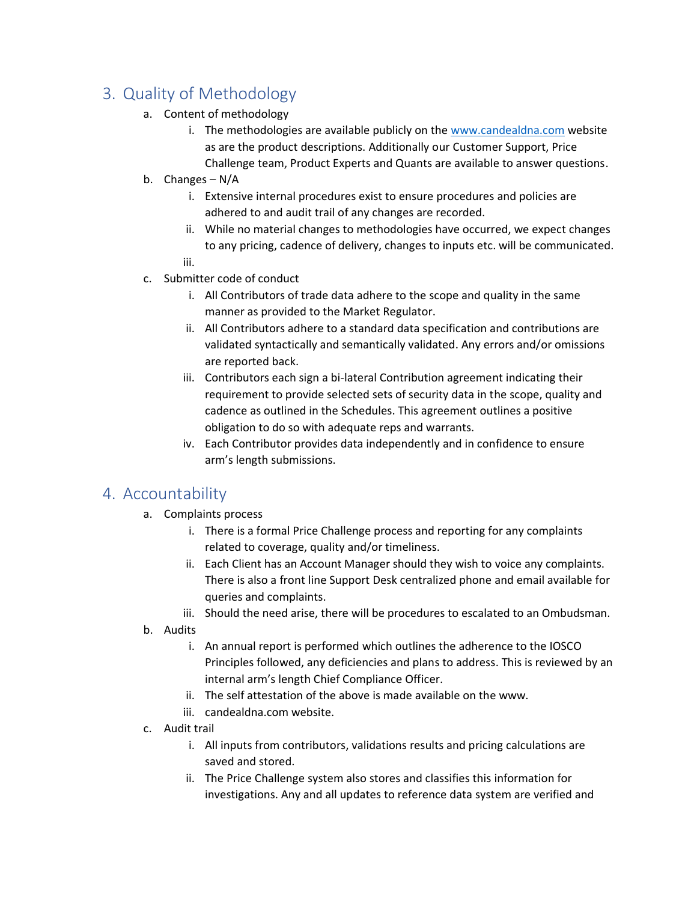## 3. Quality of Methodology

- a. Content of methodology
	- i. The methodologies are available publicly on the [www.candealdna.com](http://www.candealdna.com/) website as are the product descriptions. Additionally our Customer Support, Price Challenge team, Product Experts and Quants are available to answer questions.
- b. Changes N/A
	- i. Extensive internal procedures exist to ensure procedures and policies are adhered to and audit trail of any changes are recorded.
	- ii. While no material changes to methodologies have occurred, we expect changes to any pricing, cadence of delivery, changes to inputs etc. will be communicated. iii.
- c. Submitter code of conduct
	- i. All Contributors of trade data adhere to the scope and quality in the same manner as provided to the Market Regulator.
	- ii. All Contributors adhere to a standard data specification and contributions are validated syntactically and semantically validated. Any errors and/or omissions are reported back.
	- iii. Contributors each sign a bi-lateral Contribution agreement indicating their requirement to provide selected sets of security data in the scope, quality and cadence as outlined in the Schedules. This agreement outlines a positive obligation to do so with adequate reps and warrants.
	- iv. Each Contributor provides data independently and in confidence to ensure arm's length submissions.

#### 4. Accountability

- a. Complaints process
	- i. There is a formal Price Challenge process and reporting for any complaints related to coverage, quality and/or timeliness.
	- ii. Each Client has an Account Manager should they wish to voice any complaints. There is also a front line Support Desk centralized phone and email available for queries and complaints.
	- iii. Should the need arise, there will be procedures to escalated to an Ombudsman.
- b. Audits
	- i. An annual report is performed which outlines the adherence to the IOSCO Principles followed, any deficiencies and plans to address. This is reviewed by an internal arm's length Chief Compliance Officer.
	- ii. The self attestation of the above is made available on the www.
	- iii. candealdna.com website.
- c. Audit trail
	- i. All inputs from contributors, validations results and pricing calculations are saved and stored.
	- ii. The Price Challenge system also stores and classifies this information for investigations. Any and all updates to reference data system are verified and